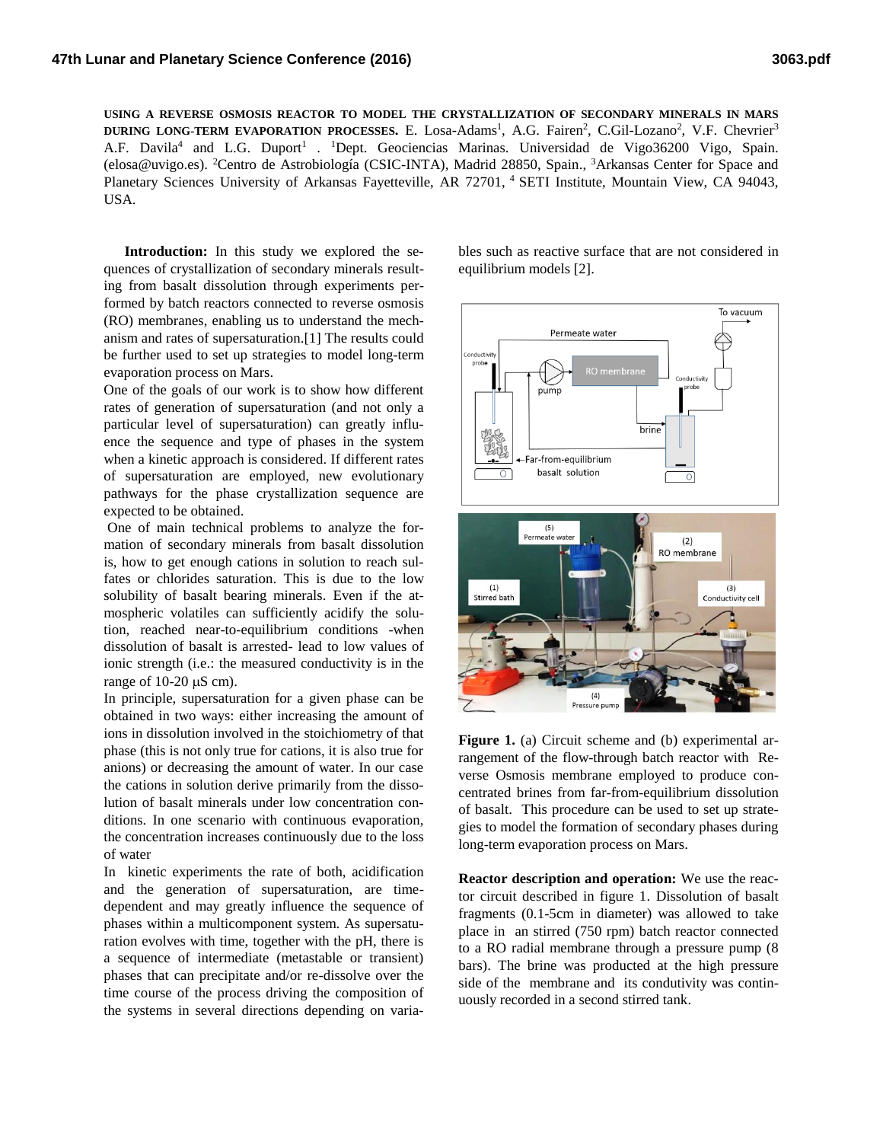**USING A REVERSE OSMOSIS REACTOR TO MODEL THE CRYSTALLIZATION OF SECONDARY MINERALS IN MARS DURING LONG-TERM EVAPORATION PROCESSES.** E. Losa-Adams<sup>1</sup>, A.G. Fairen<sup>2</sup>, C.Gil-Lozano<sup>2</sup>, V.F. Chevrier<sup>3</sup> A.F. Davila<sup>4</sup> and L.G. Duport<sup>1</sup> . <sup>1</sup>Dept. Geociencias Marinas. Universidad de Vigo36200 Vigo, Spain. (elosa@uvigo.es). <sup>2</sup>Centro de Astrobiología (CSIC-INTA), Madrid 28850, Spain., <sup>3</sup>Arkansas Center for Space and Planetary Sciences University of Arkansas Fayetteville, AR 72701, <sup>4</sup> SETI Institute, Mountain View, CA 94043, USA.

**Introduction:** In this study we explored the sequences of crystallization of secondary minerals resulting from basalt dissolution through experiments performed by batch reactors connected to reverse osmosis (RO) membranes, enabling us to understand the mechanism and rates of supersaturation.[1] The results could be further used to set up strategies to model long-term evaporation process on Mars.

One of the goals of our work is to show how different rates of generation of supersaturation (and not only a particular level of supersaturation) can greatly influence the sequence and type of phases in the system when a kinetic approach is considered. If different rates of supersaturation are employed, new evolutionary pathways for the phase crystallization sequence are expected to be obtained.

One of main technical problems to analyze the formation of secondary minerals from basalt dissolution is, how to get enough cations in solution to reach sulfates or chlorides saturation. This is due to the low solubility of basalt bearing minerals. Even if the atmospheric volatiles can sufficiently acidify the solution, reached near-to-equilibrium conditions -when dissolution of basalt is arrested- lead to low values of ionic strength (i.e.: the measured conductivity is in the range of  $10-20 \mu S$  cm).

In principle, supersaturation for a given phase can be obtained in two ways: either increasing the amount of ions in dissolution involved in the stoichiometry of that phase (this is not only true for cations, it is also true for anions) or decreasing the amount of water. In our case the cations in solution derive primarily from the dissolution of basalt minerals under low concentration conditions. In one scenario with continuous evaporation, the concentration increases continuously due to the loss of water

In kinetic experiments the rate of both, acidification and the generation of supersaturation, are timedependent and may greatly influence the sequence of phases within a multicomponent system. As supersaturation evolves with time, together with the pH, there is a sequence of intermediate (metastable or transient) phases that can precipitate and/or re-dissolve over the time course of the process driving the composition of the systems in several directions depending on varia-

bles such as reactive surface that are not considered in equilibrium models [2].



**Figure 1.** (a) Circuit scheme and (b) experimental arrangement of the flow-through batch reactor with Reverse Osmosis membrane employed to produce concentrated brines from far-from-equilibrium dissolution of basalt. This procedure can be used to set up strategies to model the formation of secondary phases during long-term evaporation process on Mars.

**Reactor description and operation:** We use the reactor circuit described in figure 1. Dissolution of basalt fragments (0.1-5cm in diameter) was allowed to take place in an stirred (750 rpm) batch reactor connected to a RO radial membrane through a pressure pump (8 bars). The brine was producted at the high pressure side of the membrane and its condutivity was continuously recorded in a second stirred tank.